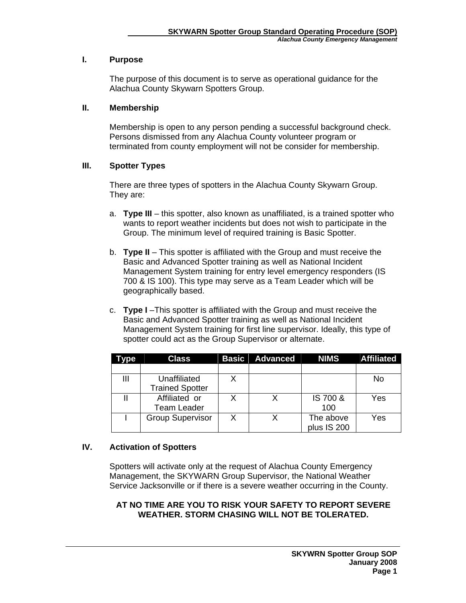#### **I. Purpose**

The purpose of this document is to serve as operational guidance for the Alachua County Skywarn Spotters Group.

#### **II. Membership**

Membership is open to any person pending a successful background check. Persons dismissed from any Alachua County volunteer program or terminated from county employment will not be consider for membership.

# **III. Spotter Types**

There are three types of spotters in the Alachua County Skywarn Group. They are:

- a. **Type III** this spotter, also known as unaffiliated, is a trained spotter who wants to report weather incidents but does not wish to participate in the Group. The minimum level of required training is Basic Spotter.
- b. **Type II** This spotter is affiliated with the Group and must receive the Basic and Advanced Spotter training as well as National Incident Management System training for entry level emergency responders (IS 700 & IS 100). This type may serve as a Team Leader which will be geographically based.
- c. **Type I** –This spotter is affiliated with the Group and must receive the Basic and Advanced Spotter training as well as National Incident Management System training for first line supervisor. Ideally, this type of spotter could act as the Group Supervisor or alternate.

| ype | <b>Class</b>            |   | <b>Basic Advanced</b> | <b>NIMS</b> | <b>Affiliated</b> |
|-----|-------------------------|---|-----------------------|-------------|-------------------|
|     |                         |   |                       |             |                   |
|     | Unaffiliated            |   |                       |             | No.               |
|     | <b>Trained Spotter</b>  |   |                       |             |                   |
|     | Affiliated or           |   |                       | IS 700 &    | Yes               |
|     | <b>Team Leader</b>      |   |                       | 100         |                   |
|     | <b>Group Supervisor</b> | Х |                       | The above   | Yes               |
|     |                         |   |                       | plus IS 200 |                   |

# **IV. Activation of Spotters**

Spotters will activate only at the request of Alachua County Emergency Management, the SKYWARN Group Supervisor, the National Weather Service Jacksonville or if there is a severe weather occurring in the County.

#### **AT NO TIME ARE YOU TO RISK YOUR SAFETY TO REPORT SEVERE WEATHER. STORM CHASING WILL NOT BE TOLERATED.**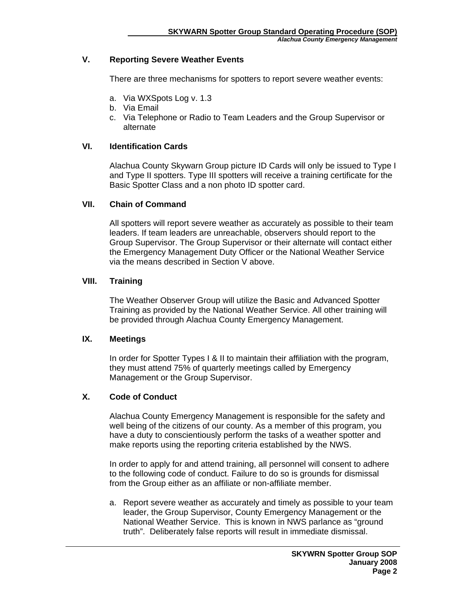# **V. Reporting Severe Weather Events**

There are three mechanisms for spotters to report severe weather events:

- a. Via WXSpots Log v. 1.3
- b. Via Email
- c. Via Telephone or Radio to Team Leaders and the Group Supervisor or alternate

# **VI. Identification Cards**

Alachua County Skywarn Group picture ID Cards will only be issued to Type I and Type II spotters. Type III spotters will receive a training certificate for the Basic Spotter Class and a non photo ID spotter card.

#### **VII. Chain of Command**

All spotters will report severe weather as accurately as possible to their team leaders. If team leaders are unreachable, observers should report to the Group Supervisor. The Group Supervisor or their alternate will contact either the Emergency Management Duty Officer or the National Weather Service via the means described in Section V above.

#### **VIII. Training**

The Weather Observer Group will utilize the Basic and Advanced Spotter Training as provided by the National Weather Service. All other training will be provided through Alachua County Emergency Management.

#### **IX. Meetings**

In order for Spotter Types I & II to maintain their affiliation with the program, they must attend 75% of quarterly meetings called by Emergency Management or the Group Supervisor.

# **X. Code of Conduct**

Alachua County Emergency Management is responsible for the safety and well being of the citizens of our county. As a member of this program, you have a duty to conscientiously perform the tasks of a weather spotter and make reports using the reporting criteria established by the NWS.

In order to apply for and attend training, all personnel will consent to adhere to the following code of conduct. Failure to do so is grounds for dismissal from the Group either as an affiliate or non-affiliate member.

a. Report severe weather as accurately and timely as possible to your team leader, the Group Supervisor, County Emergency Management or the National Weather Service. This is known in NWS parlance as "ground truth". Deliberately false reports will result in immediate dismissal.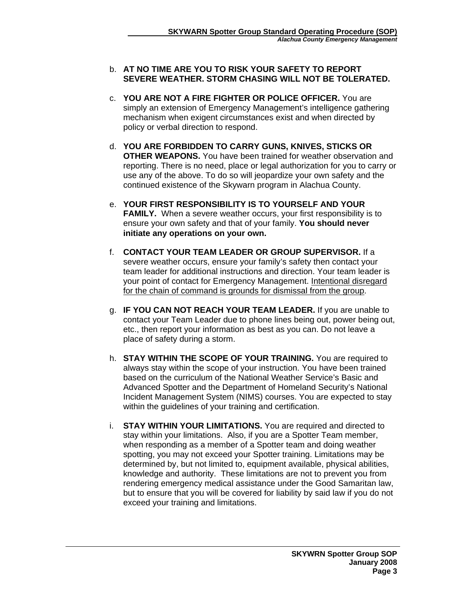#### b. **AT NO TIME ARE YOU TO RISK YOUR SAFETY TO REPORT SEVERE WEATHER. STORM CHASING WILL NOT BE TOLERATED.**

- c. **YOU ARE NOT A FIRE FIGHTER OR POLICE OFFICER.** You are simply an extension of Emergency Management's intelligence gathering mechanism when exigent circumstances exist and when directed by policy or verbal direction to respond.
- d. **YOU ARE FORBIDDEN TO CARRY GUNS, KNIVES, STICKS OR OTHER WEAPONS.** You have been trained for weather observation and reporting. There is no need, place or legal authorization for you to carry or use any of the above. To do so will jeopardize your own safety and the continued existence of the Skywarn program in Alachua County.
- e. **YOUR FIRST RESPONSIBILITY IS TO YOURSELF AND YOUR FAMILY.** When a severe weather occurs, your first responsibility is to ensure your own safety and that of your family. **You should never initiate any operations on your own.**
- f. **CONTACT YOUR TEAM LEADER OR GROUP SUPERVISOR.** If a severe weather occurs, ensure your family's safety then contact your team leader for additional instructions and direction. Your team leader is your point of contact for Emergency Management. Intentional disregard for the chain of command is grounds for dismissal from the group.
- g. **IF YOU CAN NOT REACH YOUR TEAM LEADER.** If you are unable to contact your Team Leader due to phone lines being out, power being out, etc., then report your information as best as you can. Do not leave a place of safety during a storm.
- h. **STAY WITHIN THE SCOPE OF YOUR TRAINING.** You are required to always stay within the scope of your instruction. You have been trained based on the curriculum of the National Weather Service's Basic and Advanced Spotter and the Department of Homeland Security's National Incident Management System (NIMS) courses. You are expected to stay within the guidelines of your training and certification.
- i. **STAY WITHIN YOUR LIMITATIONS.** You are required and directed to stay within your limitations. Also, if you are a Spotter Team member, when responding as a member of a Spotter team and doing weather spotting, you may not exceed your Spotter training. Limitations may be determined by, but not limited to, equipment available, physical abilities, knowledge and authority. These limitations are not to prevent you from rendering emergency medical assistance under the Good Samaritan law, but to ensure that you will be covered for liability by said law if you do not exceed your training and limitations.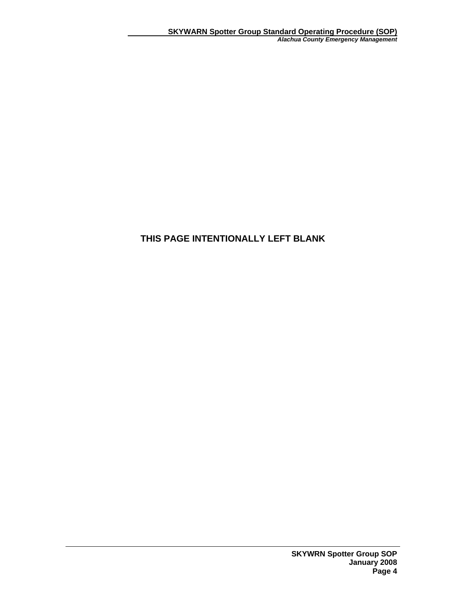# **THIS PAGE INTENTIONALLY LEFT BLANK**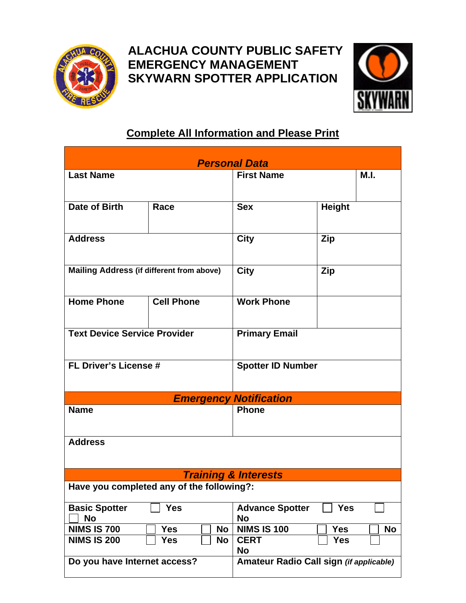

# **ALACHUA COUNTY PUBLIC SAFETY EMERGENCY MANAGEMENT SKYWARN SPOTTER APPLICATION**



# **Complete All Information and Please Print**

| <b>Personal Data</b>                            |                   |    |                                                   |               |    |  |  |  |  |
|-------------------------------------------------|-------------------|----|---------------------------------------------------|---------------|----|--|--|--|--|
| <b>Last Name</b>                                |                   |    | <b>First Name</b><br>M.I.                         |               |    |  |  |  |  |
| <b>Date of Birth</b>                            | Race              |    | <b>Sex</b>                                        | <b>Height</b> |    |  |  |  |  |
| <b>Address</b>                                  |                   |    | <b>City</b>                                       | Zip           |    |  |  |  |  |
| Mailing Address (if different from above)       |                   |    | <b>City</b>                                       | Zip           |    |  |  |  |  |
| <b>Home Phone</b>                               | <b>Cell Phone</b> |    | <b>Work Phone</b>                                 |               |    |  |  |  |  |
| <b>Text Device Service Provider</b>             |                   |    | <b>Primary Email</b>                              |               |    |  |  |  |  |
| FL Driver's License #                           |                   |    | <b>Spotter ID Number</b>                          |               |    |  |  |  |  |
|                                                 |                   |    | <b>Emergency Notification</b>                     |               |    |  |  |  |  |
| <b>Name</b>                                     |                   |    | <b>Phone</b>                                      |               |    |  |  |  |  |
| <b>Address</b>                                  |                   |    |                                                   |               |    |  |  |  |  |
|                                                 |                   |    | <b>Training &amp; Interests</b>                   |               |    |  |  |  |  |
| Have you completed any of the following?:       |                   |    |                                                   |               |    |  |  |  |  |
| <b>Basic Spotter</b><br><b>Yes</b><br><b>No</b> |                   |    | <b>Advance Spotter</b><br><b>Yes</b><br><b>No</b> |               |    |  |  |  |  |
| <b>NIMS IS 700</b>                              | Yes               | No | <b>NIMS IS 100</b>                                | <b>Yes</b>    | No |  |  |  |  |
| <b>NIMS IS 200</b><br><b>Yes</b><br>No          |                   |    | <b>CERT</b><br><b>Yes</b><br><b>No</b>            |               |    |  |  |  |  |
| Do you have Internet access?                    |                   |    | Amateur Radio Call sign (if applicable)           |               |    |  |  |  |  |